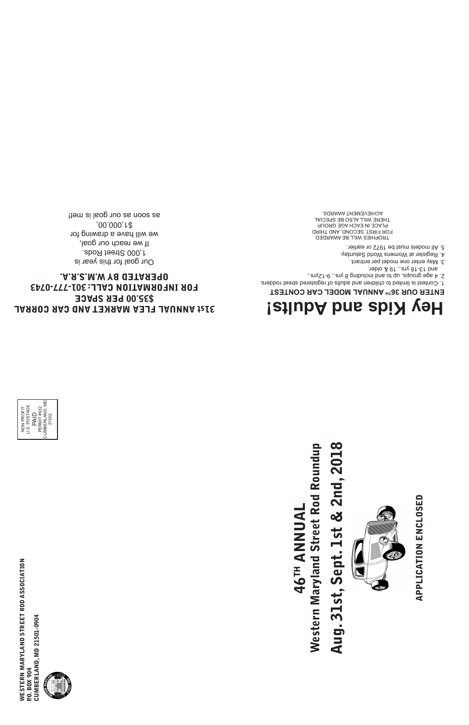### 31st ANNUAL FLEA MARKET AND CAR CORRAL \$35.00 PER SPACE FOR INFORMATION CALL: 301-777-0743 OPERATED BY W.M.S.R.A.

Our goal for this year is 1,000 Street Rods. If we reach our goal, we will have a drawing for \$1,000.00, as soon as our goal is met!

## Aug. 31st, Sept. 1st & 2nd, 2018 Western Maryland Street Rod Roundup 46TH ANNUAL Aug. 31st, Sept. 1st **Western Maryland Stre 46<sup>TH</sup> ANN**

APPLICATION ENCLOSED APPLICATION ENCLOSED





### **Hey Kids and Adults!**

TROPHIES WILL BE AWARDED FOR FIRST, SECOND, AND THIRD PLACE IN EACH AGE GROUP. THERE WILL ALSO BE SPECIAL ACHIEVEMENT AWARDS.

### **ENTER OUR 36TH ANNUAL MODEL CAR CONTEST**



# & 2nd, 2018 et Rod Roundup



1. Contest is limited to children and adults of registered street rodders.

2. 4 age groups, up to and including 8 yrs., 9-12yrs.,

and 13-18 yrs., 19 & older.

3. May enter one model per entrant.

4. Register at Womens World Saturday.

5. All models must be 1972 or earlier.